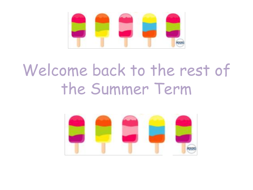

# Welcome back to the rest of the Summer Term

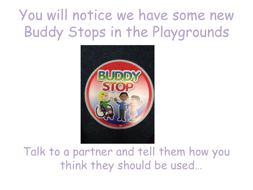## You will notice we have some new Buddy Stops in the Playgrounds



Talk to a partner and tell them how you think they should be used…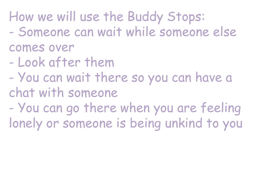How we will use the Buddy Stops:

- Someone can wait while someone else comes over
- Look after them
- You can wait there so you can have a chat with someone
- You can go there when you are feeling lonely or someone is being unkind to you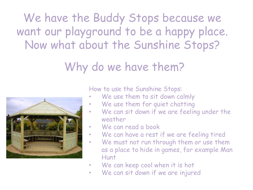We have the Buddy Stops because we want our playground to be a happy place. Now what about the Sunshine Stops?

#### Why do we have them?



How to use the Sunshine Stops:

- We use them to sit down calmly
- We use them for quiet chatting
- We can sit down if we are feeling under the weather
- We can read a book
- We can have a rest if we are feeling tired
- We must not run through them or use them as a place to hide in games, for example Man Hunt
- We can keep cool when it is hot
- We can sit down if we are injured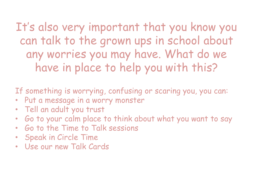It's also very important that you know you can talk to the grown ups in school about any worries you may have. What do we have in place to help you with this?

If something is worrying, confusing or scaring you, you can:

- Put a message in a worry monster
- Tell an adult you trust
- Go to your calm place to think about what you want to say
- Go to the Time to Talk sessions
- Speak in Circle Time
- Use our new Talk Cards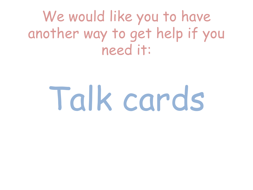We would like you to have another way to get help if you need it:

# Talk cards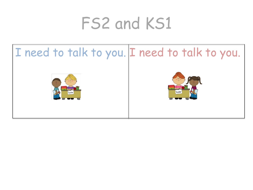# FS2 and KS1

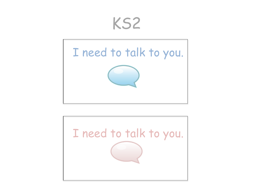### KS2



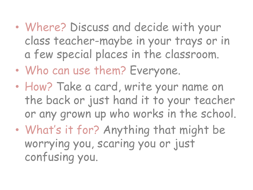- Where? Discuss and decide with your class teacher-maybe in your trays or in a few special places in the classroom.
- Who can use them? Everyone.
- How? Take a card, write your name on the back or just hand it to your teacher or any grown up who works in the school.
- What's it for? Anything that might be worrying you, scaring you or just confusing you.